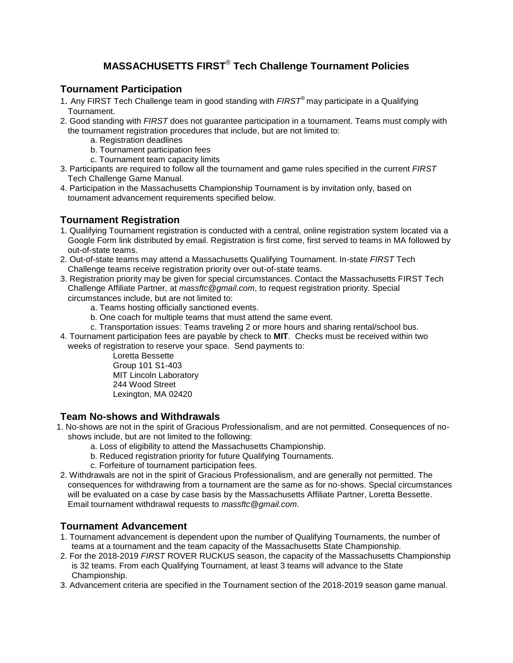# **MASSACHUSETTS FIRST**® **Tech Challenge Tournament Policies**

## **Tournament Participation**

- 1. Any FIRST Tech Challenge team in good standing with *FIRST*® may participate in a Qualifying Tournament.
- 2. Good standing with *FIRST* does not guarantee participation in a tournament. Teams must comply with the tournament registration procedures that include, but are not limited to:
	- a. Registration deadlines
	- b. Tournament participation fees
	- c. Tournament team capacity limits
- 3. Participants are required to follow all the tournament and game rules specified in the current *FIRST* Tech Challenge Game Manual.
- 4. Participation in the Massachusetts Championship Tournament is by invitation only, based on tournament advancement requirements specified below.

#### **Tournament Registration**

- 1. Qualifying Tournament registration is conducted with a central, online registration system located via a Google Form link distributed by email. Registration is first come, first served to teams in MA followed by out-of-state teams.
- 2. Out-of-state teams may attend a Massachusetts Qualifying Tournament. In-state *FIRST* Tech Challenge teams receive registration priority over out-of-state teams.
- 3. Registration priority may be given for special circumstances. Contact the Massachusetts FIRST Tech Challenge Affiliate Partner, at *massftc@gmail.com*, to request registration priority. Special circumstances include, but are not limited to:
	- a. Teams hosting officially sanctioned events.
	- b. One coach for multiple teams that must attend the same event.
	- c. Transportation issues: Teams traveling 2 or more hours and sharing rental/school bus.
- 4. Tournament participation fees are payable by check to **MIT**. Checks must be received within two weeks of registration to reserve your space. Send payments to:

Loretta Bessette Group 101 S1-403 MIT Lincoln Laboratory 244 Wood Street Lexington, MA 02420

#### **Team No-shows and Withdrawals**

- 1. No-shows are not in the spirit of Gracious Professionalism, and are not permitted. Consequences of noshows include, but are not limited to the following:
	- a. Loss of eligibility to attend the Massachusetts Championship.
	- b. Reduced registration priority for future Qualifying Tournaments.
	- c. Forfeiture of tournament participation fees.
- 2. Withdrawals are not in the spirit of Gracious Professionalism, and are generally not permitted. The consequences for withdrawing from a tournament are the same as for no-shows. Special circumstances will be evaluated on a case by case basis by the Massachusetts Affiliate Partner, Loretta Bessette. Email tournament withdrawal requests to *massftc@gmail.com*.

#### **Tournament Advancement**

- 1. Tournament advancement is dependent upon the number of Qualifying Tournaments, the number of teams at a tournament and the team capacity of the Massachusetts State Championship.
- 2. For the 2018-2019 *FIRST* ROVER RUCKUS season, the capacity of the Massachusetts Championship is 32 teams. From each Qualifying Tournament, at least 3 teams will advance to the State Championship.
- 3. Advancement criteria are specified in the Tournament section of the 2018-2019 season game manual.